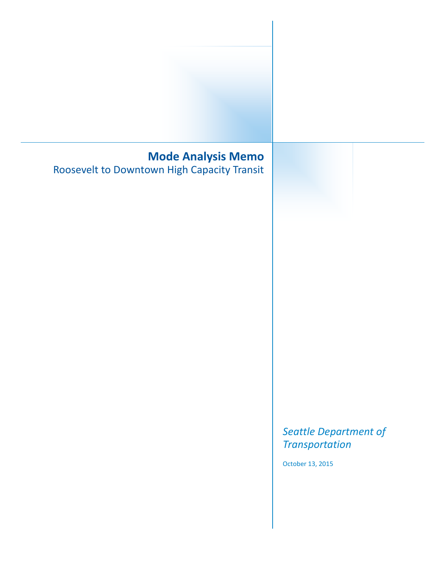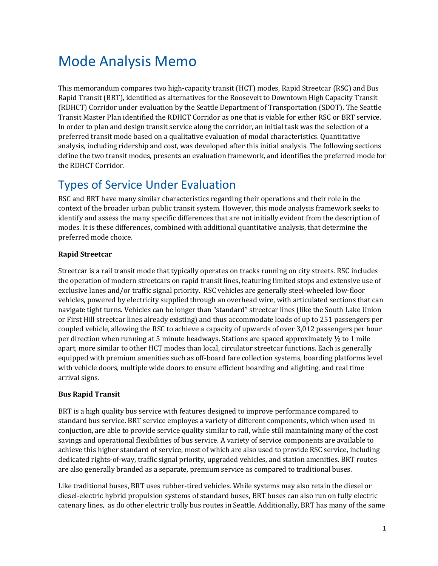# Mode Analysis Memo

This memorandum compares two high-capacity transit (HCT) modes, Rapid Streetcar (RSC) and Bus Rapid Transit (BRT), identified as alternatives for the Roosevelt to Downtown High Capacity Transit (RDHCT) Corridor under evaluation by the Seattle Department of Transportation (SDOT). The Seattle Transit Master Plan identified the RDHCT Corridor as one that is viable for either RSC or BRT service. In order to plan and design transit service along the corridor, an initial task was the selection of a preferred transit mode based on a qualitative evaluation of modal characteristics. Quantitative analysis, including ridership and cost, was developed after this initial analysis. The following sections define the two transit modes, presents an evaluation framework, and identifies the preferred mode for the RDHCT Corridor.

# Types of Service Under Evaluation

RSC and BRT have many similar characteristics regarding their operations and their role in the context of the broader urban public transit system. However, this mode analysis framework seeks to identify and assess the many specific differences that are not initially evident from the description of modes. It is these differences, combined with additional quantitative analysis, that determine the preferred mode choice.

### **Rapid Streetcar**

Streetcar is a rail transit mode that typically operates on tracks running on city streets. RSC includes the operation of modern streetcars on rapid transit lines, featuring limited stops and extensive use of exclusive lanes and/or traffic signal priority. RSC vehicles are generally steel-wheeled low-floor vehicles, powered by electricity supplied through an overhead wire, with articulated sections that can navigate tight turns. Vehicles can be longer than "standard" streetcar lines (like the South Lake Union or First Hill streetcar lines already existing) and thus accommodate loads of up to 251 passengers per coupled vehicle, allowing the RSC to achieve a capacity of upwards of over 3,012 passengers per hour per direction when running at 5 minute headways. Stations are spaced approximately  $\frac{1}{2}$  to 1 mile apart, more similar to other HCT modes than local, circulator streetcar functions. Each is generally equipped with premium amenities such as off-board fare collection systems, boarding platforms level with vehicle doors, multiple wide doors to ensure efficient boarding and alighting, and real time arrival signs.

### **Bus Rapid Transit**

BRT is a high quality bus service with features designed to improve performance compared to standard bus service. BRT service employes a variety of different components, which when used in conjuction, are able to provide service quality similar to rail, while still maintaining many of the cost savings and operational flexibilities of bus service. A variety of service components are available to achieve this higher standard of service, most of which are also used to provide RSC service, including dedicated rights-of-way, traffic signal priority, upgraded vehicles, and station amenities. BRT routes are also generally branded as a separate, premium service as compared to traditional buses.

Like traditional buses, BRT uses rubber-tired vehicles. While systems may also retain the diesel or diesel-electric hybrid propulsion systems of standard buses, BRT buses can also run on fully electric catenary lines, as do other electric trolly bus routes in Seattle. Additionally, BRT has many of the same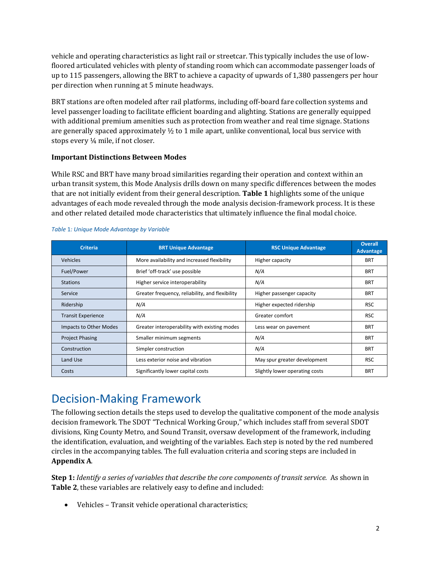vehicle and operating characteristics as light rail or streetcar. This typically includes the use of low‐ floored articulated vehicles with plenty of standing room which can accommodate passenger loads of up to 115 passengers, allowing the BRT to achieve a capacity of upwards of 1,380 passengers per hour per direction when running at 5 minute headways.

BRT stations are often modeled after rail platforms, including off-board fare collection systems and level passenger loading to facilitate efficient boarding and alighting. Stations are generally equipped with additional premium amenities such as protection from weather and real time signage. Stations are generally spaced approximately  $\frac{1}{2}$  to 1 mile apart, unlike conventional, local bus service with stops every ¼ mile, if not closer.

### **Important Distinctions Between Modes**

While RSC and BRT have many broad similarities regarding their operation and context within an urban transit system, this Mode Analysis drills down on many specific differences between the modes that are not initially evident from their general description. **[Table](#page-3-0) 1** highlights some of the unique advantages of each mode revealed through the mode analysis decision-framework process. It is these and other related detailed mode characteristics that ultimately influence the final modal choice.

| <b>Criteria</b>           | <b>BRT Unique Advantage</b>                     | <b>RSC Unique Advantage</b>    | <b>Overall</b><br>Advantage |
|---------------------------|-------------------------------------------------|--------------------------------|-----------------------------|
| Vehicles                  | More availability and increased flexibility     | Higher capacity                | <b>BRT</b>                  |
| Fuel/Power                | Brief 'off-track' use possible                  | N/A                            | <b>BRT</b>                  |
| <b>Stations</b>           | Higher service interoperability                 | N/A                            | <b>BRT</b>                  |
| Service                   | Greater frequency, reliability, and flexibility | Higher passenger capacity      | <b>BRT</b>                  |
| Ridership                 | N/A                                             | Higher expected ridership      | <b>RSC</b>                  |
| <b>Transit Experience</b> | N/A                                             | Greater comfort                | <b>RSC</b>                  |
| Impacts to Other Modes    | Greater interoperability with existing modes    | Less wear on pavement          | <b>BRT</b>                  |
| <b>Project Phasing</b>    | Smaller minimum segments                        | N/A                            | <b>BRT</b>                  |
| Construction              | Simpler construction                            | N/A                            | <b>BRT</b>                  |
| Land Use                  | Less exterior noise and vibration               | May spur greater development   | <b>RSC</b>                  |
| Costs                     | Significantly lower capital costs               | Slightly lower operating costs | <b>BRT</b>                  |

#### <span id="page-3-0"></span>*Table* 1*: Unique Mode Advantage by Variable*

# Decision-Making Framework

The following section details the steps used to develop the qualitative component of the mode analysis decision framework. The SDOT "Technical Working Group," which includes staff from several SDOT divisions, King County Metro, and Sound Transit, oversaw development of the framework, including the identification, evaluation, and weighting of the variables. Each step is noted by the red numbered circles in the accompanying tables. The full evaluation criteria and scoring steps are included in **Appendix A**.

**Step 1:** *Identify a series of variables that describe the core components of transit service.* As shown in **[Table 2](#page-4-0)**, these variables are relatively easy to define and included:

Vehicles – Transit vehicle operational characteristics;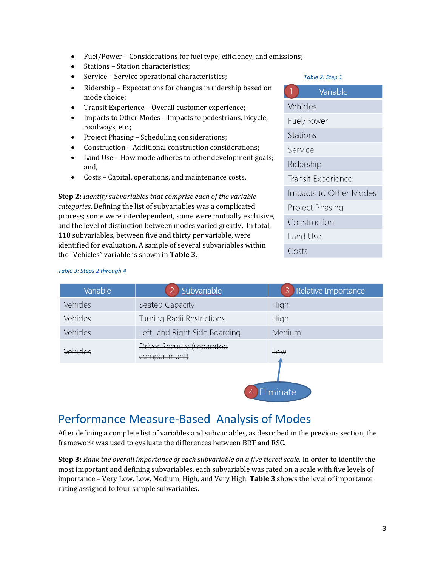- Fuel/Power Considerations for fuel type, efficiency, and emissions;
- Stations Station characteristics;
- Service Service operational characteristics;
- Ridership Expectations for changes in ridership based on mode choice;
- Transit Experience Overall customer experience;
- Impacts to Other Modes Impacts to pedestrians, bicycle, roadways, etc.;
- Project Phasing Scheduling considerations;
- Construction Additional construction considerations;
- Land Use How mode adheres to other development goals; and,
- Costs Capital, operations, and maintenance costs.

**Step 2:** *Identify subvariables that comprise each of the variable categories*. Defining the list of subvariables was a complicated process; some were interdependent, some were mutually exclusive, and the level of distinction between modes varied greatly. In total, 118 subvariables, between five and thirty per variable, were identified for evaluation. A sample of several subvariables within the "Vehicles" variable is shown in **[Table 3](#page-4-1)**.

#### <span id="page-4-0"></span>*Table 2: Step 1*

| $\mathbf{1}$    | Variable               |
|-----------------|------------------------|
| Vehicles        |                        |
| Fuel/Power      |                        |
| Stations        |                        |
| Service         |                        |
| Ridership       |                        |
|                 | Transit Experience     |
|                 | Impacts to Other Modes |
| Project Phasing |                        |
| Construction    |                        |
| Land Use        |                        |
| Costs           |                        |
|                 |                        |

### <span id="page-4-1"></span>*Table 3: Steps 2 through 4*

| Variable | Subvariable                                | Relative Importance<br>$\overline{3}$ |
|----------|--------------------------------------------|---------------------------------------|
| Vehicles | Seated Capacity                            | High                                  |
| Vehicles | Turning Radii Restrictions                 | High                                  |
| Vehicles | Left- and Right-Side Boarding              | Medium                                |
| Vehicles | Driver Security (separated<br>compartment) | L <sub>OW</sub>                       |
|          |                                            |                                       |

# Performance Measure-Based Analysis of Modes

After defining a complete list of variables and subvariables, as described in the previous section, the framework was used to evaluate the differences between BRT and RSC.

**Eliminate** 

**Step 3:** *Rank the overall importance of each subvariable on a five tiered scale.* In order to identify the most important and defining subvariables, each subvariable was rated on a scale with five levels of importance – Very Low, Low, Medium, High, and Very High. **[Table 3](#page-4-1)** shows the level of importance rating assigned to four sample subvariables.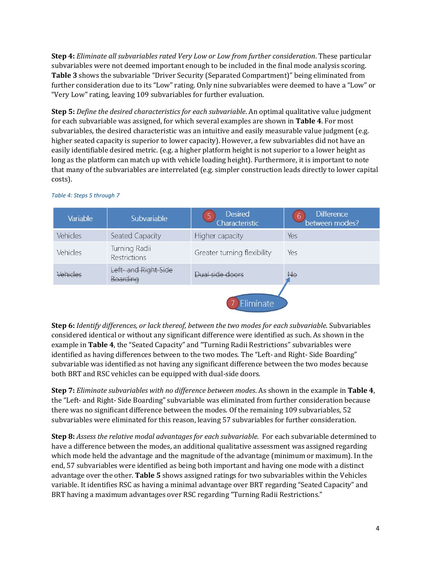**Step 4:** *Eliminate all subvariables rated Very Low or Low from further consideration*. These particular subvariables were not deemed important enough to be included in the final mode analysis scoring. **[Table 3](#page-4-1)** shows the subvariable "Driver Security (Separated Compartment)" being eliminated from further consideration due to its "Low" rating. Only nine subvariables were deemed to have a "Low" or "Very Low" rating, leaving 109 subvariables for further evaluation.

**Step 5:** *Define the desired characteristics for each subvariable*. An optimal qualitative value judgment for each subvariable was assigned, for which several examples are shown in **[Table 4](#page-5-0)**. For most subvariables, the desired characteristic was an intuitive and easily measurable value judgment (e.g. higher seated capacity is superior to lower capacity). However, a few subvariables did not have an easily identifiable desired metric. (e.g. a higher platform height is not superior to a lower height as long as the platform can match up with vehicle loading height). Furthermore, it is important to note that many of the subvariables are interrelated (e.g. simpler construction leads directly to lower capital costs).

| Variable | Subvariable                      | <b>Desired</b><br>Characteristic | <b>Difference</b><br>'6<br>between modes? |
|----------|----------------------------------|----------------------------------|-------------------------------------------|
| Vehicles | Seated Capacity                  | Higher capacity                  | Yes                                       |
| Vehicles | Turning Radii<br>Restrictions    | Greater turning flexibility      | Yes                                       |
| Vehicles | Left- and Right-Side<br>Boarding | Dual side doors                  | <b>No</b>                                 |
|          |                                  | Eliminate                        |                                           |

### <span id="page-5-0"></span>*Table 4: Steps 5 through 7*

**Step 6:** *Identify differences, or lack thereof, between the two modes for each subvariable*. Subvariables considered identical or without any significant difference were identified as such. As shown in the example in **[Table 4](#page-5-0)**, the "Seated Capacity" and "Turning Radii Restrictions" subvariables were identified as having differences between to the two modes. The "Left- and Right- Side Boarding" subvariable was identified as not having any significant difference between the two modes because both BRT and RSC vehicles can be equipped with dual-side doors.

**Step 7:** *Eliminate subvariables with no difference between modes*. As shown in the example in **[Table 4](#page-5-0)**, the "Left- and Right- Side Boarding" subvariable was eliminated from further consideration because there was no significant difference between the modes. Of the remaining 109 subvariables, 52 subvariables were eliminated for this reason, leaving 57 subvariables for further consideration.

**Step 8:** *Assess the relative modal advantages for each subvariable*. For each subvariable determined to have a difference between the modes, an additional qualitative assessment was assigned regarding which mode held the advantage and the magnitude of the advantage (minimum or maximum). In the end, 57 subvariables were identified as being both important and having one mode with a distinct advantage over the other. **[Table 5](#page-6-0)** shows assigned ratings for two subvariables within the Vehicles variable. It identifies RSC as having a minimal advantage over BRT regarding "Seated Capacity" and BRT having a maximum advantages over RSC regarding "Turning Radii Restrictions."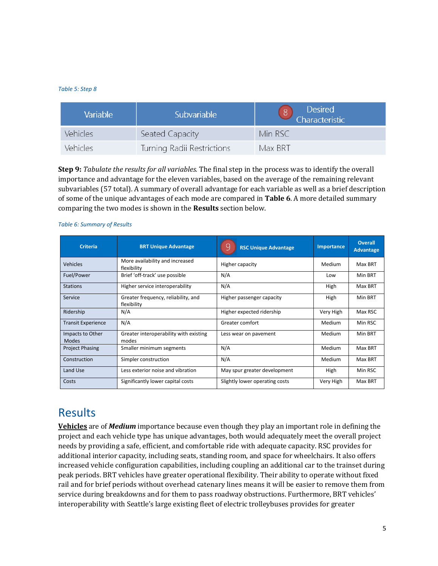#### <span id="page-6-0"></span>*Table 5: Step 8*

| Variable        | Subvariable                | Desired<br>  Characteristic |
|-----------------|----------------------------|-----------------------------|
| <b>Vehicles</b> | Seated Capacity            | Min RSC                     |
| <b>Vehicles</b> | Turning Radii Restrictions | Max BRT                     |

**Step 9:** *Tabulate the results for all variables.* The final step in the process was to identify the overall importance and advantage for the eleven variables, based on the average of the remaining relevant subvariables (57 total). A summary of overall advantage for each variable as well as a brief description of some of the unique advantages of each mode are compared in **[Table 6](#page-6-1)**. A more detailed summary comparing the two modes is shown in the **Results** section below.

| <b>Criteria</b>           | <b>BRT Unique Advantage</b>                        | <b>RSC Unique Advantage</b>    | Importance    | <b>Overall</b><br><b>Advantage</b> |
|---------------------------|----------------------------------------------------|--------------------------------|---------------|------------------------------------|
| Vehicles                  | More availability and increased<br>flexibility     | Higher capacity                | Medium        | Max BRT                            |
| Fuel/Power                | Brief 'off-track' use possible                     | N/A                            | Low           | Min BRT                            |
| <b>Stations</b>           | Higher service interoperability                    | N/A                            | High          | Max BRT                            |
| Service                   | Greater frequency, reliability, and<br>flexibility | Higher passenger capacity      | High          | Min BRT                            |
| Ridership                 | N/A                                                | Higher expected ridership      | Very High     | Max RSC                            |
| <b>Transit Experience</b> | N/A                                                | Greater comfort                | <b>Medium</b> | Min RSC                            |
| Impacts to Other<br>Modes | Greater interoperability with existing<br>modes    | Less wear on pavement          | Medium        | Min BRT                            |
| <b>Project Phasing</b>    | Smaller minimum segments                           | N/A                            | Medium        | Max BRT                            |
| Construction              | Simpler construction                               | N/A                            | Medium        | Max BRT                            |
| Land Use                  | Less exterior noise and vibration                  | May spur greater development   | High          | Min RSC                            |
| Costs                     | Significantly lower capital costs                  | Slightly lower operating costs | Very High     | Max BRT                            |

#### <span id="page-6-1"></span>*Table 6: Summary of Results*

## Results

**Vehicles** are of *Medium* importance because even though they play an important role in defining the project and each vehicle type has unique advantages, both would adequately meet the overall project needs by providing a safe, efficient, and comfortable ride with adequate capacity. RSC provides for additional interior capacity, including seats, standing room, and space for wheelchairs. It also offers increased vehicle configuration capabilities, including coupling an additional car to the trainset during peak periods. BRT vehicles have greater operational flexibility. Their ability to operate without fixed rail and for brief periods without overhead catenary lines means it will be easier to remove them from service during breakdowns and for them to pass roadway obstructions. Furthermore, BRT vehicles' interoperability with Seattle's large existing fleet of electric trolleybuses provides for greater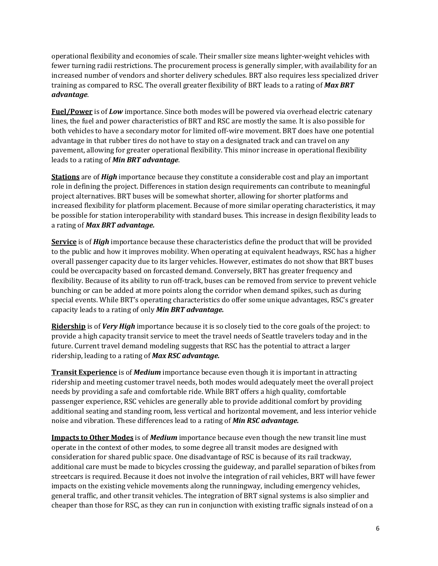operational flexibility and economies of scale. Their smaller size means lighter-weight vehicles with fewer turning radii restrictions. The procurement process is generally simpler, with availability for an increased number of vendors and shorter delivery schedules. BRT also requires less specialized driver training as compared to RSC. The overall greater flexibility of BRT leads to a rating of *Max BRT advantage*.

**Fuel/Power** is of *Low* importance. Since both modes will be powered via overhead electric catenary lines, the fuel and power characteristics of BRT and RSC are mostly the same. It is also possible for both vehicles to have a secondary motor for limited off-wire movement. BRT does have one potential advantage in that rubber tires do not have to stay on a designated track and can travel on any pavement, allowing for greater operational flexibility. This minor increase in operational flexibility leads to a rating of *Min BRT advantage*.

**Stations** are of *High* importance because they constitute a considerable cost and play an important role in defining the project. Differences in station design requirements can contribute to meaningful project alternatives. BRT buses will be somewhat shorter, allowing for shorter platforms and increased flexibility for platform placement. Because of more similar operating characteristics, it may be possible for station interoperability with standard buses. This increase in design flexibility leads to a rating of *Max BRT advantage.*

**Service** is of *High* importance because these characteristics define the product that will be provided to the public and how it improves mobility. When operating at equivalent headways, RSC has a higher overall passenger capacity due to its larger vehicles. However, estimates do not show that BRT buses could be overcapacity based on forcasted demand. Conversely, BRT has greater frequency and flexibility. Because of its ability to run off-track, buses can be removed from service to prevent vehicle bunching or can be added at more points along the corridor when demand spikes, such as during special events. While BRT's operating characteristics do offer some unique advantages, RSC's greater capacity leads to a rating of only *Min BRT advantage.*

**Ridership** is of *Very High* importance because it is so closely tied to the core goals of the project: to provide a high capacity transit service to meet the travel needs of Seattle travelers today and in the future. Current travel demand modeling suggests that RSC has the potential to attract a larger ridership, leading to a rating of *Max RSC advantage.*

**Transit Experience** is of *Medium* importance because even though it is important in attracting ridership and meeting customer travel needs, both modes would adequately meet the overall project needs by providing a safe and comfortable ride. While BRT offers a high quality, comfortable passenger experience, RSC vehicles are generally able to provide additional comfort by providing additional seating and standing room, less vertical and horizontal movement, and less interior vehicle noise and vibration. These differences lead to a rating of *Min RSC advantage.*

**Impacts to Other Modes** is of *Medium* importance because even though the new transit line must operate in the context of other modes, to some degree all transit modes are designed with consideration for shared public space. One disadvantage of RSC is because of its rail trackway, additional care must be made to bicycles crossing the guideway, and parallel separation of bikes from streetcars is required. Because it does not involve the integration of rail vehicles, BRT will have fewer impacts on the existing vehicle movements along the runningway, including emergency vehicles, general traffic, and other transit vehicles. The integration of BRT signal systems is also simplier and cheaper than those for RSC, as they can run in conjunction with existing traffic signals instead of on a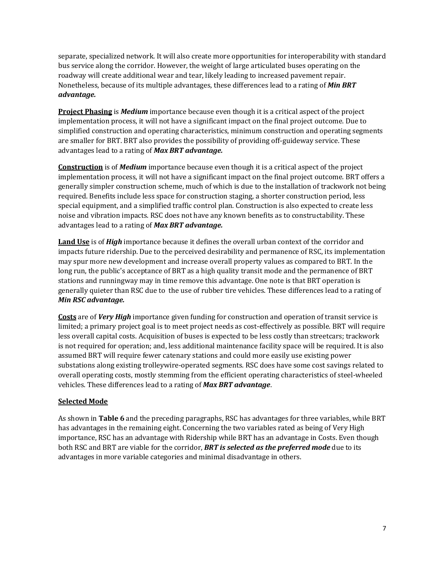separate, specialized network. It will also create more opportunities for interoperability with standard bus service along the corridor. However, the weight of large articulated buses operating on the roadway will create additional wear and tear, likely leading to increased pavement repair. Nonetheless, because of its multiple advantages, these differences lead to a rating of *Min BRT advantage.*

**Project Phasing** is *Medium* importance because even though it is a critical aspect of the project implementation process, it will not have a significant impact on the final project outcome. Due to simplified construction and operating characteristics, minimum construction and operating segments are smaller for BRT. BRT also provides the possibility of providing off-guideway service. These advantages lead to a rating of *Max BRT advantage.*

**Construction** is of *Medium* importance because even though it is a critical aspect of the project implementation process, it will not have a significant impact on the final project outcome. BRT offers a generally simpler construction scheme, much of which is due to the installation of trackwork not being required. Benefits include less space for construction staging, a shorter construction period, less special equipment, and a simplified traffic control plan. Construction is also expected to create less noise and vibration impacts. RSC does not have any known benefits as to constructability. These advantages lead to a rating of *Max BRT advantage.*

**Land Use** is of *High* importance because it defines the overall urban context of the corridor and impacts future ridership. Due to the perceived desirability and permanence of RSC, its implementation may spur more new development and increase overall property values as compared to BRT. In the long run, the public's acceptance of BRT as a high quality transit mode and the permanence of BRT stations and runningway may in time remove this advantage. One note is that BRT operation is generally quieter than RSC due to the use of rubber tire vehicles. These differences lead to a rating of *Min RSC advantage.*

**Costs** are of *Very High* importance given funding for construction and operation of transit service is limited; a primary project goal is to meet project needs as cost-effectively as possible. BRT will require less overall capital costs. Acquisition of buses is expected to be less costly than streetcars; trackwork is not required for operation; and, less additional maintenance facility space will be required. It is also assumed BRT will require fewer catenary stations and could more easily use existing power substations along existing trolleywire-operated segments. RSC does have some cost savings related to overall operating costs, mostly stemming from the efficient operating characteristics of steel-wheeled vehicles. These differences lead to a rating of *Max BRT advantage*.

### **Selected Mode**

As shown in **[Table 6](#page-6-1)** and the preceding paragraphs, RSC has advantages for three variables, while BRT has advantages in the remaining eight. Concerning the two variables rated as being of Very High importance, RSC has an advantage with Ridership while BRT has an advantage in Costs. Even though both RSC and BRT are viable for the corridor, *BRT is selected as the preferred mode* due to its advantages in more variable categories and minimal disadvantage in others.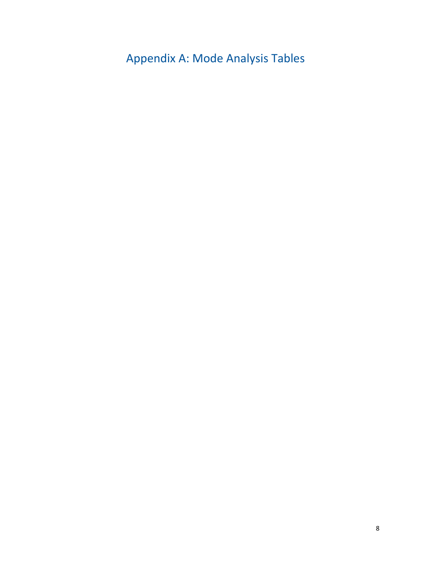Appendix A: Mode Analysis Tables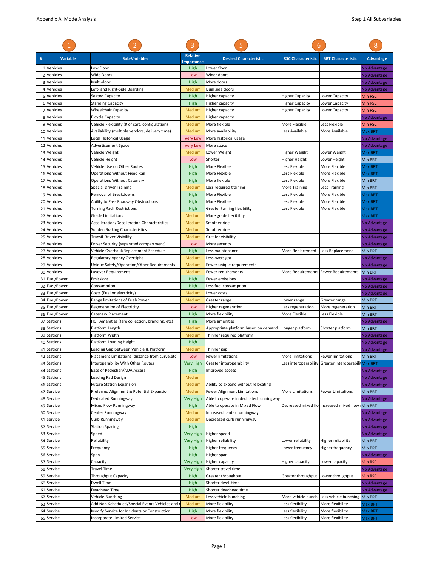| #        | <b>Variable</b>                | <b>Sub-Variables</b>                                                         | <b>Relative</b><br><b>Importance</b> | <b>Desired Characteristic</b>                                       | <b>RSC Characteristic</b>        | <b>BRT Characteristic</b>                | <b>Advantage</b>               |
|----------|--------------------------------|------------------------------------------------------------------------------|--------------------------------------|---------------------------------------------------------------------|----------------------------------|------------------------------------------|--------------------------------|
| -1       | Vehicles                       | Low Floor                                                                    | High                                 | Lower floor                                                         |                                  |                                          | No Advantage                   |
|          | 2 Vehicles                     | <b>Wide Doors</b>                                                            | Low                                  | Wider doors                                                         |                                  |                                          | No Advantage                   |
|          | 3 Vehicles                     | Multi-door                                                                   | High                                 | More doors                                                          |                                  |                                          | <b>No Advantage</b>            |
|          | Vehicles                       | Left- and Right-Side Boarding                                                | Medium                               | Dual side doors                                                     |                                  |                                          | No Advantage                   |
|          | 5 Vehicles                     | Seated Capacity                                                              | High                                 | Higher capacity                                                     | <b>Higher Capacity</b>           | Lower Capacity                           | Min RSC                        |
|          | 6 Vehicles                     | <b>Standing Capacity</b>                                                     | High                                 | Higher capacity                                                     | Higher Capacity                  | Lower Capacity                           | Min RSC                        |
|          | Vehicles<br>8 Vehicles         | <b>Wheelchair Capacity</b><br><b>Bicycle Capacity</b>                        | Medium<br>Medium                     | Higher capacity<br>Higher capacity                                  | Higher Capacity                  | Lower Capacity                           | Min RSC                        |
|          | 9 Vehicles                     | Vehicle Flexibility (# of cars, configuration)                               | Medium                               | More flexible                                                       | More Flexible                    | Less Flexible                            | No Advantage<br><b>Min RSC</b> |
|          | 10 Vehicles                    | Availability (multiple vendors, delivery time)                               | Medium                               | More availability                                                   | Less Available                   | More Available                           | Max BRT                        |
| 11       | Vehicles                       | Local Historical Usage                                                       | <b>Very Low</b>                      | More historical usage                                               |                                  |                                          | No Advantage                   |
| 12       | Vehicles                       | Advertisement Space                                                          | <b>Very Low</b>                      | More space                                                          |                                  |                                          | No Advantage                   |
| 13       | Vehicles                       | Vehicle Weight                                                               | Medium                               | Lower Weight                                                        | Higher Weight                    | Lower Weight                             | Max BRT                        |
| 14       | Vehicles                       | Vehicle Height                                                               | Low                                  | Shorter                                                             | Higher Height                    | Lower Height                             | Min BRT                        |
|          | 15 Vehicles                    | Vehicle Use on Other Routes                                                  | High                                 | More Flexible                                                       | Less Flexible                    | More Flexible                            | Max BRT                        |
|          | 16 Vehicles                    | <b>Operations Without Fixed Rail</b>                                         | High                                 | More Flexible                                                       | Less Flexible                    | More Flexible                            | Max BRT                        |
| 17       | Vehicles                       | <b>Operations Without Catenary</b>                                           | High                                 | More flexible                                                       | Less Flexible                    | More Flexible                            | Min BRT                        |
| 18       | Vehicles                       | <b>Special Driver Training</b>                                               | Medium                               | Less required training                                              | More Training                    | Less Training                            | Min BRT                        |
| 19       | Vehicles                       | Removal of Breakdowns                                                        | High                                 | More Flexible                                                       | Less Flexible                    | More Flexible                            | Max BRT                        |
| 20       | Vehicles                       | Ability to Pass Roadway Obstructions                                         | High                                 | More Flexible                                                       | Less Flexible<br>Less Flexible   | More Flexible<br>More Flexible           | Max BRT                        |
| 21<br>22 | Vehicles<br>Vehicles           | Turning Radii Restrictions<br><b>Grade Limitations</b>                       | High<br>Medium                       | Greater turning flexibility<br>More grade flexibility               |                                  |                                          | Max BRT<br>Max BRT             |
|          | 23 Vehicles                    | Accelleration/Decelleration Characteristics                                  | Medium                               | Smother ride                                                        |                                  |                                          | No Advantage                   |
| 24       | Vehicles                       | <b>Sudden Braking Characteristics</b>                                        | Medium                               | Smother ride                                                        |                                  |                                          | <b>Vo Advantage</b>            |
| 25       | Vehicles                       | Transit Driver Visibility                                                    | Medium                               | Greater visibility                                                  |                                  |                                          | <b>Vo Advantage</b>            |
| 26       | Vehicles                       | Driver Security (separated compartment)                                      | Low                                  | More security                                                       |                                  |                                          | No Advantage                   |
| 27       | Vehicles                       | Vehicle Overhaul/Replacement Schedule                                        | High                                 | Less maintenance                                                    | More Replacement                 | Less Replacement                         | Min BRT                        |
| 28       | Vehicles                       | Regulatory Agency Oversight                                                  | Medium                               | Less oversight                                                      |                                  |                                          | Vo Advantage                   |
| 29       | Vehicles                       | Unique Safety/Operation/Other Requirements                                   | Medium                               | Fewer unique requirements                                           |                                  |                                          | No Advantage                   |
|          | 30 Vehicles                    | Layover Requirement                                                          | Medium                               | Fewer requirements                                                  |                                  | More Requirements   Fewer Requirements   | Min BRT                        |
| 31       | Fuel/Power                     | Emissions                                                                    | High                                 | Fewer emissions                                                     |                                  |                                          | No Advantage                   |
| 32       | Fuel/Power                     | Consumption                                                                  | High                                 | Less fuel consumption                                               |                                  |                                          | No Advantage                   |
|          | 33 Fuel/Power                  | Costs (Fuel or electricity)                                                  | Medium                               | Lower costs                                                         |                                  |                                          | <b>No Advantage</b>            |
|          | 34 Fuel/Power<br>35 Fuel/Power | Range limitations of Fuel/Power<br>Regeneration of Electricity               | Medium<br>Low                        | Greater range<br>Higher regeneration                                | Lower range<br>Less regeneration | Greater range<br>More regeneration       | Min BRT<br>Min BRT             |
|          | 36 Fuel/Power                  | Catenary Placement                                                           | High                                 | More flexibility                                                    | More Flexible                    | Less Flexible                            | Min BRT                        |
| 37       | <b>Stations</b>                | HCT Amenities (fare collection, branding, etc)                               | High                                 | More amenities                                                      |                                  |                                          | No Advantage                   |
|          | 38 Stations                    | Platform Length                                                              | Medium                               | Appropriate platform based on demand                                | Longer platform                  | Shorter platform                         | Min BRT                        |
| 39       | <b>Stations</b>                | Platform Width                                                               | Medium                               | Thinner required platform                                           |                                  |                                          | <b>Vo Advantage</b>            |
| 40       | <b>Stations</b>                | Platform Loading Height                                                      | High                                 |                                                                     |                                  |                                          | No Advantage                   |
|          | 41 Stations                    | Loading Gap between Vehicle & Platform                                       | Medium                               | Thinner gap                                                         |                                  |                                          | No Advantage                   |
|          | 42 Stations                    | Placement Limitations (distance from curve, etc)                             | Low                                  | <b>Fewer limitations</b>                                            | More limitations                 | Fewer limitations                        | Min BRT                        |
|          | 43 Stations                    | Interoperability With Other Routes                                           | <b>Very High</b>                     | Greater interoperability                                            | Less interoperability            | Greater interoperabili Max BRT           |                                |
|          | 44 Stations                    | Ease of Pedestian/ADA Access                                                 | High                                 | Improved access                                                     |                                  |                                          | No Advantage                   |
| 45       | <b>Stations</b>                | Loading Pad Design                                                           | Medium                               |                                                                     |                                  |                                          | No Advantage                   |
| 46       | <b>Stations</b>                | <b>Future Station Expansion</b><br>Preferred Alignment & Potential Expansion | Medium                               | Ability to expand without relocating<br>Fewer Alignment Limitations | More Limitations                 | Fewer Limitations                        | <b>Vo Advantage</b><br>Min BRT |
| 47       | Service<br>48 Service          | Dedicated Runningway                                                         | Medium<br><b>Very High</b>           | Able to operate in dedicated runningway                             |                                  |                                          | No Advantage                   |
| 49       | Service                        | Mixed Flow Runningway                                                        | High                                 | Able to operate in Mixed Flow                                       |                                  | Decreased mixed flowIncreased mixed flow | Min BRT                        |
|          | 50 Service                     | Center Runningway                                                            | Medium                               | Increased center runningway                                         |                                  |                                          | <b>Vo Advantage</b>            |
| 51       | Service                        | Curb Runningway                                                              | Medium                               | Decreased curb runningway                                           |                                  |                                          | No Advantage                   |
|          | 52 Service                     | <b>Station Spacing</b>                                                       | High                                 |                                                                     |                                  |                                          | No Advantage                   |
|          | 53 Service                     | Speed                                                                        | <b>Very High</b>                     | Higher speed                                                        |                                  |                                          | <b>Vo Advantage</b>            |
| 54       | Service                        | Reliability                                                                  | Very High                            | Higher reliability                                                  | Lower reliability                | Higher reliability                       | Min BRT                        |
|          | 55 Service                     | Frequency                                                                    | High                                 | Higher frequency                                                    | Lower frequency                  | Higher frequency                         | Min BRT                        |
|          | 56 Service                     | Span                                                                         | High                                 | Higher span                                                         |                                  |                                          | No Advantage                   |
| 57       | Service                        | Capacity                                                                     | Very High                            | Higher capacity                                                     | Higher capacity                  | Lower capacity                           | Min RSC                        |
|          | 58 Service                     | <b>Travel Time</b>                                                           | Very High                            | Shorter travel time                                                 |                                  |                                          | No Advantage                   |
|          | 59 Service                     | Throughput Capacity                                                          | High                                 | Greater throughput                                                  | Greater throughput               | Lower throughput                         | Min RSC                        |
| 60       | Service                        | Dwell Time                                                                   | High                                 | Shorter dwell time                                                  |                                  |                                          | No Advantage                   |
| 62       | 61 Service<br>Service          | Deadhead Time<br>Vehicle Bunching                                            | High<br>Medium                       | Shorter deadhead time<br>Less vehicle bunching                      | More vehicle bunchir             | Less vehicle bunching                    | No Advantage<br>Min BRT        |
| 63       | Service                        | Add Non-Scheduled/Special Events Vehicles and                                | Medium                               | More flexibility                                                    | Less flexibility                 | More flexibility                         | Max BRT                        |
|          | 64 Service                     | Modify Service for Incidents or Construction                                 | High                                 | More flexibility                                                    | Less flexibility                 | More flexibility                         | Max BRT                        |
|          | 65 Service                     | Incorporate Limited Service                                                  | Low                                  | More flexibility                                                    | Less flexibility                 | More flexibility                         | Max BRT                        |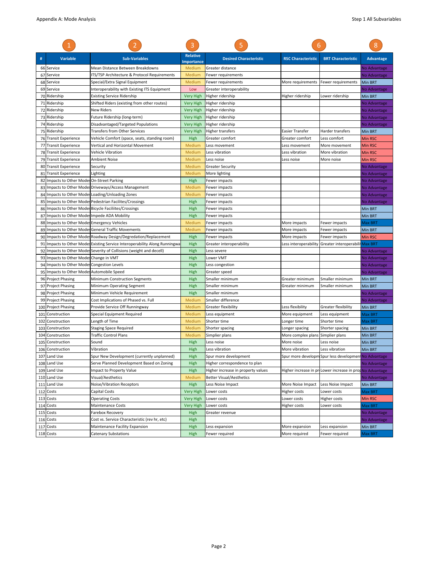| #   | Variable                                     | <b>Sub-Variables</b>                                                     | <b>Relative</b><br><b>Importance</b> | <b>Desired Characteristic</b>      | <b>RSC Characteristic</b>         | <b>BRT Characteristic</b>                             | <b>Advantage</b> |
|-----|----------------------------------------------|--------------------------------------------------------------------------|--------------------------------------|------------------------------------|-----------------------------------|-------------------------------------------------------|------------------|
|     | 66 Service                                   | Mean Distance Between Breakdowns                                         | Medium                               | Greater distance                   |                                   |                                                       | No Advantage     |
|     | 67 Service                                   | ITS/TSP Architecture & Protocol Requirements                             | Medium                               | Fewer requirements                 |                                   |                                                       | No Advantage     |
|     | 68 Service                                   | Special/Extra Signal Equipment                                           | Medium                               | Fewer requirements                 | More requirements                 | Fewer requirements                                    | <b>Min BRT</b>   |
|     | 69 Service                                   | Interoperability with Existing ITS Equipment                             | Low                                  | Greater interoperability           |                                   |                                                       | No Advantage     |
|     | 70 Ridership                                 | <b>Existing Service Ridership</b>                                        | <b>Very High</b>                     | Higher ridership                   | Higher ridership                  | Lower ridership                                       | Min BRT          |
|     | 71 Ridership                                 | Shifted Riders (existing from other routes)                              | <b>Very High</b>                     | Higher ridership                   |                                   |                                                       | No Advantage     |
|     | 72 Ridership                                 | New Riders                                                               | Very High                            | Higher ridership                   |                                   |                                                       | No Advantage     |
|     | 73 Ridership                                 | Future Ridership (long-term)                                             | <b>Very High</b>                     | Higher ridership                   |                                   |                                                       | No Advantage     |
|     | 74 Ridership                                 | Disadvantaged/Targeted Populations                                       | <b>Very High</b>                     | Higher ridership                   |                                   |                                                       | No Advantage     |
|     | 75 Ridership                                 | Transfers from Other Services                                            | Very High                            | Higher transfers                   | Easier Transfer                   | Harder transfers                                      | Min BRT          |
|     | 76 Transit Experience                        | Vehicle Comfort (space, seats, standing room)                            | High                                 | Greater comfort                    | Greater comfort                   | Less comfort                                          | Min RSC          |
| 77  | <b>Transit Experience</b>                    | Vertical and Horizontal Movement                                         | Medium                               | Less movement                      | Less movement                     | More movement                                         | Min RSC          |
|     | 78 Transit Experience                        | Vehicle Vibration                                                        | Medium                               | Less vibration                     | Less vibration                    | More vibration                                        | Min RSC          |
|     | 79 Transit Experience                        | <b>Ambient Noise</b>                                                     | Medium                               | Less noise                         | Less noise                        | More noise                                            | Min RSC          |
|     | 80 Transit Experience                        | Security                                                                 | Medium                               | <b>Greater Security</b>            |                                   |                                                       | No Advantage     |
| 81  | <b>Transit Experience</b>                    | Lighting                                                                 | Medium                               | More lighting                      |                                   |                                                       | No Advantage     |
|     | 82 Impacts to Other Modes On-Street Parking  |                                                                          | High                                 | Fewer impacts                      |                                   |                                                       | No Advantage     |
|     |                                              | 83 Impacts to Other Modes Driveways/Access Management                    | Medium                               | Fewer impacts                      |                                   |                                                       | No Advantage     |
|     |                                              | 84 Impacts to Other Modes Loading/Unloading Zones                        | Medium                               | Fewer impacts                      |                                   |                                                       | No Advantage     |
|     |                                              | 85 Impacts to Other Modes Pedestrian Facilites/Crossings                 | High                                 | Fewer impacts                      |                                   |                                                       | No Advantage     |
|     |                                              | 86 Impacts to Other Modes Bicycle Faciliites/Crossings                   | High                                 | Fewer impacts                      |                                   |                                                       | Min BRT          |
| 87  | Impacts to Other Modes Impede ADA Mobility   |                                                                          | High                                 | Fewer impacts                      |                                   |                                                       | Min BRT          |
|     | 88 Impacts to Other Modes Emergency Vehicles |                                                                          | Medium                               | Fewer impacts                      | More impacts                      | Fewer impacts                                         | Max BRT          |
|     |                                              | 89 Impacts to Other Modes General Traffic Movements                      | Medium                               | Fewer impacts                      | More impacts                      | Fewer impacts                                         | Min BRT          |
|     |                                              | 90 Impacts to Other Modes Roadway Design/Degredation/Replacement         | High                                 | Fewer impacts                      | More impacts                      | Fewer impacts                                         | <b>Min RSC</b>   |
| 91  |                                              | Impacts to Other Modes Existing Service Interoperability Along Runningwa | High                                 | Greater interoperability           | Less interoperability             | Greater interoperabili                                | Max BRT          |
| 92  |                                              | Impacts to Other Modes Severity of Collisions (weight and decell)        | High                                 | Less severe                        |                                   |                                                       | No Advantage     |
|     | 93 Impacts to Other Modes Change in VMT      |                                                                          | High                                 | Lower VMT                          |                                   |                                                       | No Advantage     |
|     | 94 Impacts to Other Modes Congestion Levels  |                                                                          | High                                 | Less congestion                    |                                   |                                                       | No Advantage     |
|     | 95 Impacts to Other Modes Automobile Speed   |                                                                          | High                                 | Greater speed                      |                                   |                                                       | No Advantage     |
|     | 96 Project Phasing                           | <b>Minimum Construction Segments</b>                                     | High                                 | Smaller minimum                    | Greater minimum                   | Smaller minimum                                       | Min BRT          |
|     | 97 Project Phasing                           | Minimum Operating Segment                                                | High                                 | Smaller minimum                    | Greater minimum                   | Smaller minimum                                       | Min BRT          |
|     | 98 Project Phasing                           | Minimum Vehicle Requirement                                              | High                                 | Smaller minimum                    |                                   |                                                       | No Advantage     |
|     | 99 Project Phasing                           | Cost Implications of Phased vs. Full                                     | Medium                               | Smaller difference                 |                                   |                                                       | No Advantage     |
|     | 100 Project Phasing                          | Provide Service Off Runningway                                           | Medium                               | Greater flexibility                | Less flexibility                  | Greater flexibility                                   | Min BRT          |
| 101 | Construction                                 | Special Equipment Required                                               | Medium                               | Less equipment                     | More equipment                    | Less equipment                                        | Max BRT          |
|     | 102 Construction                             | Length of Time                                                           | Medium                               | Shorter time                       | Longer time                       | Shorter time                                          | Max BRT          |
| 103 | Construction                                 | Staging Space Required                                                   | Medium                               | Shorter spacing                    | Longer spacing                    | Shorter spacing                                       | Min BRT          |
|     | 104 Construction                             | <b>Traffic Control Plans</b>                                             | Medium                               | Simplier plans                     | More complex plans Simplier plans |                                                       | Min BRT          |
| 105 | Construction                                 | Sound                                                                    | High                                 | Less noise                         | More noise                        | Less noise                                            | Min BRT          |
|     | 106 Construction                             | Vibration                                                                | High                                 | Less vibration                     | More vibration                    | Less vibration                                        | Min BRT          |
|     | 107 Land Use                                 | Spur New Development (currently unplanned)                               | High                                 | Spur more development              |                                   | Spur more developm Spur less development No Advantage |                  |
|     | 108 Land Use                                 | Serve Planned Development Based on Zoning                                | High                                 | Higher correspondence to plan      |                                   |                                                       | No Advantage     |
|     | 109 Land Use                                 | Impact to Property Value                                                 | High                                 | Higher increase in property values | Higher increase in pr             | Lower increase in prop No Advantage                   |                  |
|     | 110 Land Use                                 | Visual/Aesthetics                                                        | Medium                               | <b>Better Visual/Aesthetics</b>    |                                   |                                                       | No Advantage     |
|     | 111 Land Use                                 | Noise/Vibration Receptors                                                | High                                 | Less Noise Impact                  | More Noise Impact                 | Less Noise Impact                                     | Min BRT          |
|     | 112 Costs                                    | Capital Costs                                                            | Very High                            | Lower costs                        | Higher costs                      | Lower costs                                           | Max BRT          |
|     | 113 Costs                                    | <b>Operating Costs</b>                                                   | Very High                            | Lower costs                        | Lower costs                       | Higher costs                                          | Min RSC          |
|     | 114 Costs                                    | Maintenance Costs                                                        | <b>Very High</b>                     | Lower costs                        | Higher costs                      | Lower costs                                           | Max BRT          |
|     | 115 Costs                                    | Farebox Recovery                                                         | High                                 | Greater revenue                    |                                   |                                                       | No Advantage     |
|     | 116 Costs                                    | Cost vs. Service Characteristic (rev hr, etc)                            | High                                 |                                    |                                   |                                                       | No Advantage     |
|     | 117 Costs                                    | Maintenance Facility Expansion                                           | High                                 | Less expansion                     | More expansion                    | Less expansion                                        | Min BRT          |
|     | 118 Costs                                    | Catenary Substations                                                     | High                                 | Fewer required                     | More required                     | Fewer required                                        | Max BRT          |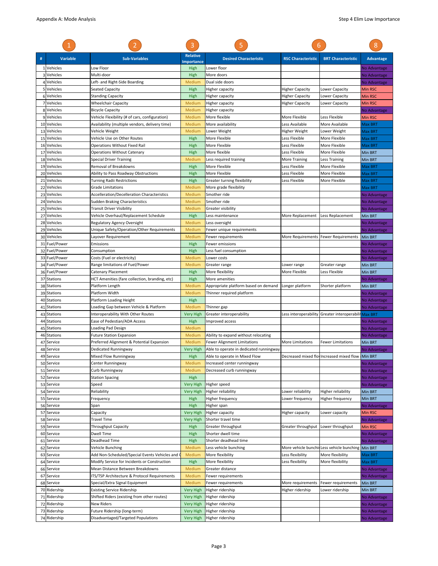|              |                          |                                                                    | 3                         | 5                                       | 6                         |                                                      | 8                            |
|--------------|--------------------------|--------------------------------------------------------------------|---------------------------|-----------------------------------------|---------------------------|------------------------------------------------------|------------------------------|
|              | <b>Variable</b>          | <b>Sub-Variables</b>                                               | <b>Relative</b>           | <b>Desired Characteristic</b>           | <b>RSC Characteristic</b> | <b>BRT Characteristic</b>                            | <b>Advantage</b>             |
| $\mathbf{1}$ | Vehicles                 | Low Floor                                                          | <b>Importance</b><br>High | Lower floor                             |                           |                                                      | No Advantage                 |
|              | Vehicles                 | Multi-door                                                         | High                      | More doors                              |                           |                                                      | No Advantage                 |
|              | 4 Vehicles               | Left- and Right-Side Boarding                                      | Medium                    | Dual side doors                         |                           |                                                      | No Advantage                 |
|              | 5 Vehicles               | Seated Capacity                                                    | High                      | Higher capacity                         | <b>Higher Capacity</b>    | Lower Capacity                                       | Min RSC                      |
|              | 6 Vehicles               | <b>Standing Capacity</b>                                           | High                      | Higher capacity                         | <b>Higher Capacity</b>    | Lower Capacity                                       | Min RSC                      |
|              | Vehicles                 | <b>Wheelchair Capacity</b>                                         | Medium                    | Higher capacity                         | <b>Higher Capacity</b>    | <b>Lower Capacity</b>                                | Min RSC                      |
|              | 8 Vehicles               | <b>Bicycle Capacity</b>                                            | Medium                    | Higher capacity                         |                           |                                                      | No Advantage                 |
|              | 9 Vehicles               | Vehicle Flexibility (# of cars, configuration)                     | Medium                    | More flexible                           | More Flexible             | Less Flexible                                        | Min RSC                      |
| 10           | Vehicles                 | Availability (multiple vendors, delivery time)                     | Medium                    | More availability                       | Less Available            | More Available                                       | Max BRT                      |
| 13           | Vehicles                 | Vehicle Weight                                                     | Medium                    | Lower Weight                            | Higher Weight             | Lower Weight                                         | Max BRT                      |
|              | 15 Vehicles              | Vehicle Use on Other Routes                                        | High                      | More Flexible                           | Less Flexible             | More Flexible                                        | Max BRT                      |
| 16           | Vehicles                 | Operations Without Fixed Rail                                      | High                      | More Flexible                           | Less Flexible             | More Flexible                                        | Max BRT                      |
| 17           | Vehicles                 | <b>Operations Without Catenary</b>                                 | High                      | More flexible                           | Less Flexible             | More Flexible                                        | Min BRT                      |
| 18           | Vehicles                 | Special Driver Training                                            | Medium                    | Less required training                  | More Training             | Less Training                                        | Min BRT                      |
| 19           | Vehicles                 | Removal of Breakdowns                                              | High                      | More Flexible                           | Less Flexible             | More Flexible                                        | Max BRT                      |
| 20           | Vehicles                 | Ability to Pass Roadway Obstructions                               | High                      | More Flexible                           | Less Flexible             | More Flexible                                        | Max BRT                      |
| 21           | Vehicles                 | <b>Turning Radii Restrictions</b>                                  | High                      | Greater turning flexibility             | Less Flexible             | More Flexible                                        | Max BRT                      |
| 22           | Vehicles                 | Grade Limitations                                                  | Medium                    | More grade flexibility                  |                           |                                                      | Max BRT                      |
| 23           | Vehicles<br>Vehicles     | Accelleration/Decelleration Characteristics                        | Medium                    | Smother ride<br>Smother ride            |                           |                                                      | No Advantage                 |
| 24<br>25     | Vehicles                 | Sudden Braking Characteristics<br><b>Transit Driver Visibility</b> | Medium<br>Medium          | <b>Greater visibility</b>               |                           |                                                      | No Advantage<br>No Advantage |
| 27           | Vehicles                 | Vehicle Overhaul/Replacement Schedule                              | High                      | Less maintenance                        | More Replacement          | Less Replacement                                     | Min BRT                      |
| 28           | Vehicles                 | Regulatory Agency Oversight                                        | Medium                    | Less oversight                          |                           |                                                      | No Advantage                 |
| 29           | Vehicles                 | Unique Safety/Operation/Other Requirements                         | Medium                    | Fewer unique requirements               |                           |                                                      | No Advantage                 |
|              | 30 Vehicles              | Layover Requirement                                                | Medium                    | <b>Fewer requirements</b>               |                           | More Requirements Fewer Requirements                 | <b>Min BRT</b>               |
| 31           | Fuel/Power               | Emissions                                                          | High                      | Fewer emissions                         |                           |                                                      | No Advantage                 |
| 32           | Fuel/Power               | Consumption                                                        | High                      | Less fuel consumption                   |                           |                                                      | No Advantage                 |
|              | 33 Fuel/Power            | Costs (Fuel or electricity)                                        | Medium                    | Lower costs                             |                           |                                                      | No Advantage                 |
|              | 34 Fuel/Power            | Range limitations of Fuel/Power                                    | Medium                    | Greater range                           | Lower range               | Greater range                                        | Min BRT                      |
|              | 36 Fuel/Power            | <b>Catenary Placement</b>                                          | High                      | More flexibility                        | More Flexible             | Less Flexible                                        | Min BRT                      |
| 37           | <b>Stations</b>          | HCT Amenities (fare collection, branding, etc)                     | High                      | More amenities                          |                           |                                                      | No Advantage                 |
| 38           | <b>Stations</b>          | Platform Length                                                    | Medium                    | Appropriate platform based on demand    | Longer platform           | Shorter platform                                     | Min BRT                      |
| 39           | <b>Stations</b>          | Platform Width                                                     | Medium                    | Thinner required platform               |                           |                                                      | No Advantage                 |
| 40           | <b>Stations</b>          | Platform Loading Height                                            | High                      |                                         |                           |                                                      | No Advantage                 |
| 41           | <b>Stations</b>          | Loading Gap between Vehicle & Platform                             | Medium                    | Thinner gap                             |                           |                                                      | No Advantage                 |
|              | 43 Stations              | Interoperability With Other Routes                                 | Very High                 | Greater interoperability                |                           | Less interoperability Greater interoperabili Max BRT |                              |
| 44           | <b>Stations</b>          | Ease of Pedestian/ADA Access                                       | High                      | Improved access                         |                           |                                                      | No Advantage                 |
| 45           | <b>Stations</b>          | Loading Pad Design                                                 | Medium                    |                                         |                           |                                                      | No Advantage                 |
| 46           | <b>Stations</b>          | <b>Future Station Expansion</b>                                    | Medium                    | Ability to expand without relocating    |                           |                                                      | No Advantage                 |
| 47           | Service                  | Preferred Alignment & Potential Expansion                          | Medium                    | Fewer Alignment Limitations             | More Limitations          | <b>Fewer Limitations</b>                             | Min BRT                      |
| 48           | Service                  | Dedicated Runningway                                               | <b>Very High</b>          | Able to operate in dedicated runningway |                           |                                                      | No Advantage                 |
|              | 49 Service               | Mixed Flow Runningway                                              | High                      | Able to operate in Mixed Flow           |                           | Decreased mixed flow Increased mixed flow IMin BRT   |                              |
|              | 50 Service               | Center Runningway                                                  | Medium                    | Increased center runningway             |                           |                                                      | No Advantage                 |
| 51           | Service                  | Curb Runningway                                                    | Medium<br>High            | Decreased curb runningway               |                           |                                                      | No Advantage                 |
|              | 52 Service<br>53 Service | <b>Station Spacing</b><br>Speed                                    | Very High                 | Higher speed                            |                           |                                                      | No Advantage<br>No Advantage |
|              | 54 Service               | Reliability                                                        | Very High                 | Higher reliability                      | Lower reliability         | <b>Higher reliability</b>                            | Min BRT                      |
| 55           | Service                  | Frequency                                                          | High                      | Higher frequency                        | Lower frequency           | Higher frequency                                     | Min BRT                      |
|              | 56 Service               | Span                                                               | High                      | Higher span                             |                           |                                                      | No Advantage                 |
|              | 57 Service               | Capacity                                                           | <b>Very High</b>          | Higher capacity                         | Higher capacity           | Lower capacity                                       | Min RSC                      |
|              | 58 Service               | <b>Travel Time</b>                                                 | <b>Very High</b>          | Shorter travel time                     |                           |                                                      | No Advantage                 |
| 59           | Service                  | <b>Throughput Capacity</b>                                         | High                      | Greater throughput                      | Greater throughput        | Lower throughput                                     | Min RSC                      |
|              | 60 Service               | Dwell Time                                                         | High                      | Shorter dwell time                      |                           |                                                      | No Advantage                 |
| 61           | Service                  | Deadhead Time                                                      | High                      | Shorter deadhead time                   |                           |                                                      | No Advantage                 |
| 62           | Service                  | Vehicle Bunching                                                   | Medium                    | Less vehicle bunching                   |                           | More vehicle bunchir Less vehicle bunching           | Min BRT                      |
|              | 63 Service               | Add Non-Scheduled/Special Events Vehicles and                      | Medium                    | More flexibility                        | Less flexibility          | More flexibility                                     | Max BRT                      |
| 64           | Service                  | Modify Service for Incidents or Construction                       | High                      | More flexibility                        | Less flexibility          | More flexibility                                     | Max BRT                      |
| 66           | Service                  | Mean Distance Between Breakdowns                                   | Medium                    | Greater distance                        |                           |                                                      | No Advantage                 |
| 67           | Service                  | ITS/TSP Architecture & Protocol Requirements                       | Medium                    | Fewer requirements                      |                           |                                                      | No Advantage                 |
|              | 68 Service               | Special/Extra Signal Equipment                                     | Medium                    | Fewer requirements                      | More requirements         | Fewer requirements                                   | Min BRT                      |
|              | 70 Ridership             | <b>Existing Service Ridership</b>                                  | Very High                 | Higher ridership                        | Higher ridership          | Lower ridership                                      | Min BRT                      |
| 71           | Ridership                | Shifted Riders (existing from other routes)                        | Very High                 | Higher ridership                        |                           |                                                      | No Advantage                 |
| 72           | Ridership                | New Riders                                                         | Very High                 | Higher ridership                        |                           |                                                      | No Advantage                 |
|              | 73 Ridership             | Future Ridership (long-term)                                       | Very High                 | Higher ridership                        |                           |                                                      | No Advantage                 |
|              | 74 Ridership             | Disadvantaged/Targeted Populations                                 | Very High                 | Higher ridership                        |                           |                                                      | No Advantage                 |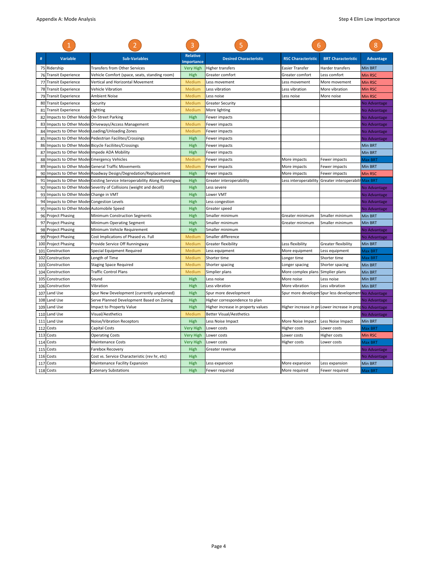| #   | <b>Variable</b>                            | <b>Sub-Variables</b>                                                     | <b>Relative</b><br>mportance | <b>Desired Characteristic</b>      | <b>RSC Characteristic</b>         | <b>BRT Characteristic</b>                                         | <b>Advantage</b> |
|-----|--------------------------------------------|--------------------------------------------------------------------------|------------------------------|------------------------------------|-----------------------------------|-------------------------------------------------------------------|------------------|
|     | 75 Ridership                               | <b>Transfers from Other Services</b>                                     | <b>Very High</b>             | <b>Higher transfers</b>            | Easier Transfer                   | Harder transfers                                                  | Min BRT          |
|     | 76 Transit Experience                      | Vehicle Comfort (space, seats, standing room)                            | High                         | Greater comfort                    | Greater comfort                   | Less comfort                                                      | <b>Min RSC</b>   |
| 77  | <b>Transit Experience</b>                  | Vertical and Horizontal Movement                                         | Medium                       | Less movement                      | Less movement                     | More movement                                                     | Min RSC          |
| 78  | <b>Transit Experience</b>                  | Vehicle Vibration                                                        | Medium                       | Less vibration                     | Less vibration                    | More vibration                                                    | <b>Min RSC</b>   |
|     | 79 Transit Experience                      | Ambient Noise                                                            | Medium                       | Less noise                         | Less noise                        | More noise                                                        | <b>Min RSC</b>   |
| 80  | <b>Transit Experience</b>                  | Security                                                                 | Medium                       | <b>Greater Security</b>            |                                   |                                                                   | No Advantage     |
|     | 81 Transit Experience                      | Lighting                                                                 | Medium                       | More lighting                      |                                   |                                                                   | No Advantage     |
| 82  | Impacts to Other Modes On-Street Parking   |                                                                          | High                         | Fewer impacts                      |                                   |                                                                   | No Advantage     |
| 83  |                                            | Impacts to Other Modes Driveways/Access Management                       | Medium                       | Fewer impacts                      |                                   |                                                                   | No Advantage     |
| 84  |                                            | Impacts to Other Modes Loading/Unloading Zones                           | Medium                       | Fewer impacts                      |                                   |                                                                   | No Advantage     |
| 85  |                                            | Impacts to Other Modes Pedestrian Facilites/Crossings                    | High                         | Fewer impacts                      |                                   |                                                                   | No Advantage     |
|     |                                            | 86 Impacts to Other Modes Bicycle Faciliites/Crossings                   | High                         | Fewer impacts                      |                                   |                                                                   | Min BRT          |
| 87  | Impacts to Other Modes Impede ADA Mobility |                                                                          | High                         | Fewer impacts                      |                                   |                                                                   | Min BRT          |
| 88  | Impacts to Other Modes Emergency Vehicles  |                                                                          | Medium                       | Fewer impacts                      | More impacts                      | Fewer impacts                                                     | Max BRT          |
| 89  |                                            | Impacts to Other Modes General Traffic Movements                         | Medium                       | Fewer impacts                      | More impacts                      | Fewer impacts                                                     | Min BRT          |
| 90  |                                            | Impacts to Other Modes Roadway Design/Degredation/Replacement            | High                         | Fewer impacts                      | More impacts                      | Fewer impacts                                                     | <b>Min RSC</b>   |
| 91  |                                            | Impacts to Other Modes Existing Service Interoperability Along Runningwa | High                         | Greater interoperability           | Less interoperability             | Greater interoperabilit                                           | Max BRT          |
| 92  |                                            | Impacts to Other Modes Severity of Collisions (weight and decell)        | High                         | Less severe                        |                                   |                                                                   | No Advantage     |
| 93  | Impacts to Other Modes Change in VMT       |                                                                          | High                         | Lower VMT                          |                                   |                                                                   | No Advantage     |
| 94  | Impacts to Other Modes Congestion Levels   |                                                                          | High                         | Less congestion                    |                                   |                                                                   | No Advantage     |
|     | 95 Impacts to Other Modes Automobile Speed |                                                                          | High                         | Greater speed                      |                                   |                                                                   | No Advantage     |
| 96  | <b>Project Phasing</b>                     | Minimum Construction Segments                                            | High                         | Smaller minimum                    | Greater minimum                   | Smaller minimum                                                   | Min BRT          |
|     | 97 Project Phasing                         | Minimum Operating Segment                                                | High                         | Smaller minimum                    | Greater minimum                   | Smaller minimum                                                   | Min BRT          |
| 98  | <b>Project Phasing</b>                     | Minimum Vehicle Requirement                                              | High                         | Smaller minimum                    |                                   |                                                                   | No Advantage     |
| 99  | <b>Project Phasing</b>                     | Cost Implications of Phased vs. Full                                     | Medium                       | Smaller difference                 |                                   |                                                                   | No Advantage     |
|     | 100 Project Phasing                        | Provide Service Off Runningway                                           | Medium                       | <b>Greater flexibility</b>         | Less flexibility                  | Greater flexibility                                               | Min BRT          |
| 101 | Construction                               | Special Equipment Required                                               | Medium                       | Less equipment                     | More equipment                    | Less equipment                                                    | Max BRT          |
| 102 | Construction                               | Length of Time                                                           | Medium                       | Shorter time                       | Longer time                       | Shorter time                                                      | Max BRT          |
| 103 | Construction                               | <b>Staging Space Required</b>                                            | Medium                       | Shorter spacing                    | Longer spacing                    | Shorter spacing                                                   | Min BRT          |
| 104 | Construction                               | <b>Traffic Control Plans</b>                                             | Medium                       | Simplier plans                     | More complex plans Simplier plans |                                                                   | Min BRT          |
| 105 | Construction                               | Sound                                                                    | High                         | Less noise                         | More noise                        | Less noise                                                        | Min BRT          |
| 106 | Construction                               | Vibration                                                                | High                         | Less vibration                     | More vibration                    | Less vibration                                                    | Min BRT          |
| 107 | Land Use                                   | Spur New Development (currently unplanned)                               | High                         | Spur more development              |                                   | Spur more developm Spur less development No Advantage             |                  |
|     | 108 Land Use                               | Serve Planned Development Based on Zoning                                | High                         | Higher correspondence to plan      |                                   |                                                                   | No Advantage     |
|     | 109 Land Use                               | Impact to Property Value                                                 | High                         | Higher increase in property values |                                   | Higher increase in pr <b>iL</b> ower increase in propNo Advantage |                  |
| 110 | Land Use                                   | Visual/Aesthetics                                                        | Medium                       | <b>Better Visual/Aesthetics</b>    |                                   |                                                                   | No Advantage     |
| 111 | Land Use                                   | Noise/Vibration Receptors                                                | High                         | Less Noise Impact                  | More Noise Impact                 | Less Noise Impact                                                 | Min BRT          |
| 112 | Costs                                      | <b>Capital Costs</b>                                                     | <b>Very High</b>             | Lower costs                        | Higher costs                      | Lower costs                                                       | <b>Max BRT</b>   |
| 113 | Costs                                      | <b>Operating Costs</b>                                                   | <b>Very High</b>             | Lower costs                        | Lower costs                       | Higher costs                                                      | Min RSC          |
| 114 | Costs                                      | <b>Maintenance Costs</b>                                                 | <b>Very High</b>             | Lower costs                        | Higher costs                      | Lower costs                                                       | Max BRT          |
| 115 | Costs                                      | Farebox Recovery                                                         | High                         | Greater revenue                    |                                   |                                                                   | No Advantage     |
| 116 | Costs                                      | Cost vs. Service Characteristic (rev hr, etc)                            | High                         |                                    |                                   |                                                                   | No Advantage     |
| 117 | Costs                                      | Maintenance Facility Expansion                                           | High                         | Less expansion                     | More expansion                    | Less expansion                                                    | Min BRT          |
|     | 118 Costs                                  | <b>Catenary Substations</b>                                              | High                         | Fewer required                     | More required                     | Fewer required                                                    | <b>Max BRT</b>   |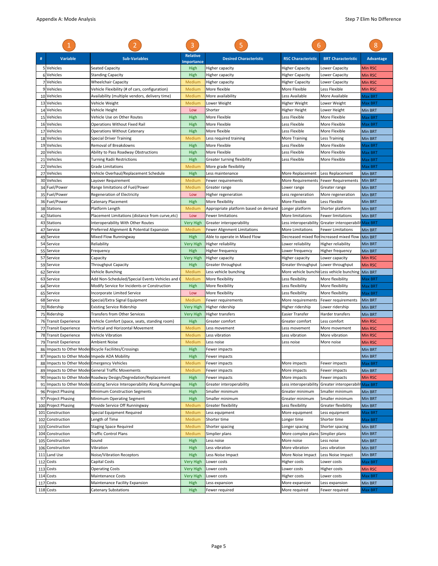|          |                                                        |                                                                                   | 3                                    |                                      | 6                                 |                                                    | 8                  |
|----------|--------------------------------------------------------|-----------------------------------------------------------------------------------|--------------------------------------|--------------------------------------|-----------------------------------|----------------------------------------------------|--------------------|
|          | <b>Variable</b>                                        | <b>Sub-Variables</b>                                                              | <b>Relative</b><br><b>Importance</b> | <b>Desired Characteristic</b>        | <b>RSC Characteristic</b>         | <b>BRT</b> Characteristic                          | <b>Advantage</b>   |
|          | 5 Vehicles                                             | Seated Capacity                                                                   | High                                 | Higher capacity                      | Higher Capacity                   | Lower Capacity                                     | <b>Min RSC</b>     |
|          | 6 Vehicles                                             | <b>Standing Capacity</b>                                                          | High                                 | Higher capacity                      | <b>Higher Capacity</b>            | Lower Capacity                                     | Min RSC            |
|          | 7 Vehicles                                             | <b>Wheelchair Capacity</b>                                                        | Medium                               | Higher capacity                      | Higher Capacity                   | Lower Capacity                                     | Min RSC            |
|          | 9 Vehicles                                             | Vehicle Flexibility (# of cars, configuration)                                    | Medium                               | More flexible                        | More Flexible                     | Less Flexible                                      | Min RSC            |
| 10       | Vehicles                                               | Availability (multiple vendors, delivery time)                                    | Medium                               | More availability                    | Less Available                    | More Available                                     | Max BRT            |
| 13       | Vehicles                                               | Vehicle Weight                                                                    | Medium                               | Lower Weight                         | Higher Weight                     | Lower Weight                                       | Max BRT            |
|          | 14 Vehicles                                            | Vehicle Height                                                                    | Low                                  | Shorter                              | Higher Height                     | Lower Height                                       | Min BRT            |
| 15       | Vehicles                                               | Vehicle Use on Other Routes                                                       | High                                 | More Flexible                        | Less Flexible                     | More Flexible                                      | Max BRT            |
| 16       | Vehicles                                               | Operations Without Fixed Rail                                                     | High                                 | More Flexible                        | Less Flexible                     | More Flexible                                      | Max BRT            |
| 17       | Vehicles                                               | <b>Operations Without Catenary</b>                                                | High                                 | More flexible                        | Less Flexible                     | More Flexible                                      | Min BRT            |
|          | 18 Vehicles                                            | <b>Special Driver Training</b>                                                    | Medium                               | Less required training               | <b>More Training</b>              | Less Training                                      | Min BRT            |
| 19<br>20 | Vehicles<br>Vehicles                                   | Removal of Breakdowns<br>Ability to Pass Roadway Obstructions                     | High<br>High                         | More Flexible<br>More Flexible       | Less Flexible<br>Less Flexible    | More Flexible<br>More Flexible                     | Max BRT<br>Max BRT |
| 21       | Vehicles                                               | <b>Turning Radii Restrictions</b>                                                 | High                                 | Greater turning flexibility          | Less Flexible                     | More Flexible                                      | Max BRT            |
| 22       | Vehicles                                               | Grade Limitations                                                                 | Medium                               | More grade flexibility               |                                   |                                                    | Max BRT            |
| 27       | Vehicles                                               | Vehicle Overhaul/Replacement Schedule                                             | High                                 | Less maintenance                     | More Replacement                  | Less Replacement                                   | Min BRT            |
|          | 30 Vehicles                                            | Layover Requirement                                                               | Medium                               | Fewer requirements                   |                                   | More Requirements   Fewer Requirements             | Min BRT            |
|          | 34 Fuel/Power                                          | Range limitations of Fuel/Power                                                   | Medium                               | Greater range                        | Lower range                       | Greater range                                      | Min BRT            |
|          | 35 Fuel/Power                                          | <b>Regeneration of Electricity</b>                                                | Low                                  | Higher regeneration                  | Less regeneration                 | More regeneration                                  | Min BRT            |
|          | 36 Fuel/Power                                          | Catenary Placement                                                                | High                                 | More flexibility                     | More Flexible                     | Less Flexible                                      | Min BRT            |
|          | 38 Stations                                            | Platform Length                                                                   | Medium                               | Appropriate platform based on demand | Longer platform                   | Shorter platform                                   | Min BRT            |
| 42       | <b>Stations</b>                                        | Placement Limitations (distance from curve, etc)                                  | Low                                  | <b>Fewer limitations</b>             | More limitations                  | <b>Fewer limitations</b>                           | Min BRT            |
| 43       | <b>Stations</b>                                        | Interoperability With Other Routes                                                | <b>Very High</b>                     | Greater interoperability             | Less interoperability             | Greater interoperabilit                            | Max BRT            |
| 47       | Service                                                | Preferred Alignment & Potential Expansion                                         | Medium                               | <b>Fewer Alignment Limitations</b>   | More Limitations                  | Fewer Limitations                                  | Min BRT            |
|          | 49 Service                                             | Mixed Flow Runningway                                                             | High                                 | Able to operate in Mixed Flow        |                                   | Decreased mixed flow Increased mixed flow IMin BRT |                    |
| 54       | Service                                                | Reliability                                                                       | <b>Very High</b>                     | Higher reliability                   | Lower reliability                 | Higher reliability                                 | Min BRT            |
| 55       | Service                                                | Frequency                                                                         | High                                 | Higher frequency                     | Lower frequency                   | Higher frequency                                   | Min BRT            |
|          | 57 Service                                             | Capacity                                                                          | Very High                            | <b>Higher capacity</b>               | Higher capacity                   | Lower capacity                                     | Min RSC            |
| 59       | Service                                                | <b>Throughput Capacity</b>                                                        | High                                 | Greater throughput                   | Greater throughput                | Lower throughput                                   | Min RSC            |
| 62       | Service                                                | Vehicle Bunching                                                                  | Medium                               | Less vehicle bunching                | More vehicle bunchir              | Less vehicle bunching                              | Min BRT            |
| 63       | Service                                                | Add Non-Scheduled/Special Events Vehicles and (                                   | Medium                               | More flexibility                     | Less flexibility                  | More flexibility                                   | Max BRT            |
|          | 64 Service                                             | Modify Service for Incidents or Construction                                      | High                                 | More flexibility                     | Less flexibility                  | More flexibility                                   | Max BRT            |
| 65       | Service                                                | Incorporate Limited Service                                                       | Low                                  | More flexibility                     | Less flexibility                  | More flexibility                                   | Max BRT            |
|          | 68 Service                                             | Special/Extra Signal Equipment                                                    | Medium                               | Fewer requirements                   | More requirements                 | Fewer requirements                                 | Min BRT            |
| 70       | Ridership                                              | <b>Existing Service Ridership</b>                                                 | <b>Very High</b>                     | Higher ridership                     | Higher ridership                  | Lower ridership                                    | Min BRT            |
|          | 75 Ridership                                           | <b>Transfers from Other Services</b>                                              | <b>Very High</b>                     | <b>Higher transfers</b>              | Easier Transfer                   | Harder transfers                                   | Min BRT            |
| 76       | <b>Transit Experience</b><br><b>Transit Experience</b> | Vehicle Comfort (space, seats, standing room)<br>Vertical and Horizontal Movement | High<br>Medium                       | Greater comfort<br>Less movement     | Greater comfort<br>Less movement  | Less comfort<br>More movement                      | Min RSC            |
| 77       | 78 Transit Experience                                  | Vehicle Vibration                                                                 | Medium                               | Less vibration                       | Less vibration                    | More vibration                                     | Min RSC<br>Min RSC |
| 79       | <b>Transit Experience</b>                              | <b>Ambient Noise</b>                                                              | Medium                               | Less noise                           | Less noise                        | More noise                                         | Min RSC            |
| 86       |                                                        | Impacts to Other Modes Bicycle Faciliites/Crossings                               | High                                 | Fewer impacts                        |                                   |                                                    | Min BRT            |
|          | 87 Impacts to Other Modes Impede ADA Mobility          |                                                                                   | High                                 | Fewer impacts                        |                                   |                                                    | Min BRT            |
|          | 88 Impacts to Other Modes Emergency Vehicles           |                                                                                   | Medium                               | Fewer impacts                        | More impacts                      | Fewer impacts                                      | Max BRT            |
| 89       |                                                        | Impacts to Other Modes General Traffic Movements                                  | Medium                               | Fewer impacts                        | More impacts                      | Fewer impacts                                      | Min BRT            |
|          |                                                        | 90 Impacts to Other Modes Roadway Design/Degredation/Replacement                  | High                                 | Fewer impacts                        | More impacts                      | Fewer impacts                                      | Min RSC            |
|          |                                                        | 91 Impacts to Other Modes Existing Service Interoperability Along Runningwa       | High                                 | Greater interoperability             | Less interoperability             | Greater interoperabili                             | Max BRT            |
|          | 96 Project Phasing                                     | Minimum Construction Segments                                                     | High                                 | Smaller minimum                      | Greater minimum                   | Smaller minimum                                    | Min BRT            |
| 97       | <b>Project Phasing</b>                                 | Minimum Operating Segment                                                         | High                                 | Smaller minimum                      | Greater minimum                   | Smaller minimum                                    | Min BRT            |
| 100      | <b>Project Phasing</b>                                 | Provide Service Off Runningway                                                    | Medium                               | Greater flexibility                  | Less flexibility                  | Greater flexibility                                | Min BRT            |
|          | 101 Construction                                       | Special Equipment Required                                                        | Medium                               | Less equipment                       | More equipment                    | Less equipment                                     | Max BRT            |
| 102      | Construction                                           | Length of Time                                                                    | Medium                               | Shorter time                         | Longer time                       | Shorter time                                       | Max BRT            |
| 103      | Construction                                           | <b>Staging Space Required</b>                                                     | Medium                               | Shorter spacing                      | Longer spacing                    | Shorter spacing                                    | Min BRT            |
|          | 104 Construction                                       | <b>Traffic Control Plans</b>                                                      | Medium                               | Simplier plans                       | More complex plans Simplier plans |                                                    | Min BRT            |
| 105      | Construction                                           | Sound                                                                             | High                                 | Less noise                           | More noise                        | Less noise                                         | Min BRT            |
| 106      | Construction                                           | Vibration                                                                         | High                                 | Less vibration                       | More vibration                    | Less vibration                                     | Min BRT            |
|          | 111 Land Use                                           | Noise/Vibration Receptors                                                         | High                                 | Less Noise Impact                    | More Noise Impact                 | Less Noise Impact                                  | Min BRT            |
|          | 112 Costs                                              | Capital Costs                                                                     | <b>Very High</b>                     | Lower costs                          | Higher costs                      | Lower costs                                        | Max BRT            |
| 113      | Costs                                                  | <b>Operating Costs</b>                                                            | <b>Very High</b>                     | Lower costs                          | Lower costs                       | Higher costs                                       | Min RSC            |
| 114      | Costs<br>Costs                                         | <b>Maintenance Costs</b><br>Maintenance Facility Expansion                        | <b>Very High</b><br>High             | Lower costs<br>Less expansion        | Higher costs<br>More expansion    | Lower costs<br>Less expansion                      | Max BRT<br>Min BRT |
| 117      | 118 Costs                                              | Catenary Substations                                                              | High                                 | Fewer required                       | More required                     | Fewer required                                     | Max BRT            |
|          |                                                        |                                                                                   |                                      |                                      |                                   |                                                    |                    |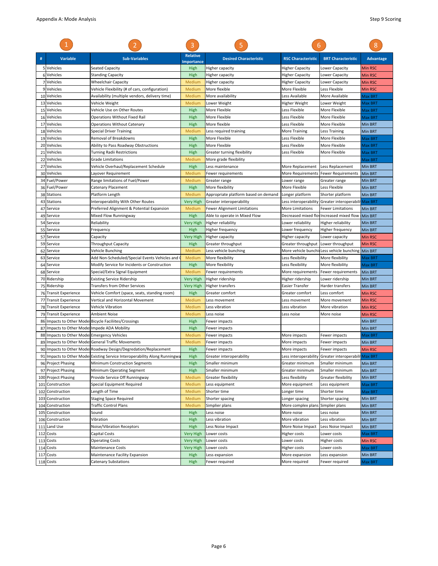|     |                                              |                                                                             | 3                                    |                                      | 6                                    |                                                      |                    |
|-----|----------------------------------------------|-----------------------------------------------------------------------------|--------------------------------------|--------------------------------------|--------------------------------------|------------------------------------------------------|--------------------|
| #   | <b>Variable</b>                              | <b>Sub-Variables</b>                                                        | <b>Relative</b><br><b>Importance</b> | <b>Desired Characteristic</b>        | <b>RSC Characteristic</b>            | <b>BRT Characteristic</b>                            | <b>Advantage</b>   |
|     | 5 Vehicles                                   | <b>Seated Capacity</b>                                                      | High                                 | Higher capacity                      | Higher Capacity                      | Lower Capacity                                       | <b>Min RSC</b>     |
|     | 6 Vehicles                                   | <b>Standing Capacity</b>                                                    | High                                 | Higher capacity                      | <b>Higher Capacity</b>               | Lower Capacity                                       | <b>Min RSC</b>     |
|     | Vehicles                                     | <b>Wheelchair Capacity</b>                                                  | Medium                               | Higher capacity                      | <b>Higher Capacity</b>               | Lower Capacity                                       | <b>Min RSC</b>     |
|     | 9 Vehicles                                   | Vehicle Flexibility (# of cars, configuration)                              | Medium                               | More flexible                        | More Flexible                        | Less Flexible                                        | Min RSC            |
|     | 10 Vehicles                                  | Availability (multiple vendors, delivery time)                              | Medium                               | More availability                    | Less Available                       | More Available                                       | Max BRT            |
| 13  | Vehicles                                     | Vehicle Weight                                                              | Medium                               | Lower Weight                         | Higher Weight                        | Lower Weight                                         | Max BRT            |
|     | 15 Vehicles                                  | Vehicle Use on Other Routes                                                 | High                                 | More Flexible                        | Less Flexible                        | More Flexible                                        | Max BRT            |
|     | 16 Vehicles                                  | <b>Operations Without Fixed Rail</b>                                        | High                                 | More Flexible                        | Less Flexible                        | More Flexible                                        | Max BRT            |
| 17  | Vehicles                                     | <b>Operations Without Catenary</b>                                          | High                                 | More flexible                        | Less Flexible                        | More Flexible                                        | Min BRT            |
| 18  | Vehicles                                     | Special Driver Training                                                     | Medium                               | Less required training               | More Training                        | Less Training                                        | Min BRT            |
| 19  | Vehicles                                     | Removal of Breakdowns                                                       | High                                 | More Flexible                        | Less Flexible                        | More Flexible                                        | Max BRT            |
| 20  | Vehicles                                     | Ability to Pass Roadway Obstructions                                        | High                                 | More Flexible                        | Less Flexible                        | More Flexible                                        | Max BRT            |
| 21  | Vehicles                                     | Turning Radii Restrictions                                                  | High                                 | Greater turning flexibility          | Less Flexible                        | More Flexible                                        | Max BRT            |
| 22  | Vehicles                                     | <b>Grade Limitations</b>                                                    | Medium                               | More grade flexibility               |                                      |                                                      | Max BRT            |
|     | 27 Vehicles                                  | Vehicle Overhaul/Replacement Schedule                                       | High                                 | Less maintenance                     | More Replacement                     | Less Replacement                                     | Min BRT            |
| 30  | Vehicles                                     | Layover Requirement                                                         | Medium                               | Fewer requirements                   | More Requirements                    | <b>Fewer Requirements</b>                            | Min BRT            |
| 34  | Fuel/Power                                   | Range limitations of Fuel/Power                                             | Medium                               | Greater range                        | Lower range                          | Greater range                                        | Min BRT            |
|     | 36 Fuel/Power                                | Catenary Placement                                                          | High                                 | More flexibility                     | More Flexible                        | Less Flexible                                        | Min BRT            |
|     | 38 Stations                                  | Platform Length                                                             | Medium                               | Appropriate platform based on demand | Longer platform                      | Shorter platform                                     | Min BRT            |
| 43  | <b>Stations</b>                              | Interoperability With Other Routes                                          | <b>Very High</b>                     | Greater interoperability             | Less interoperability                | Greater interoperabili                               | <b>Max BRT</b>     |
| 47  | Service                                      | Preferred Alignment & Potential Expansion                                   | Medium                               | <b>Fewer Alignment Limitations</b>   | <b>More Limitations</b>              | <b>Fewer Limitations</b>                             | Min BRT            |
| 49  | Service                                      | Mixed Flow Runningway                                                       | High                                 | Able to operate in Mixed Flow        |                                      | Decreased mixed flow Increased mixed flow            | Min BRT            |
|     | 54 Service                                   | Reliability                                                                 | Very High                            | Higher reliability                   | Lower reliability                    | <b>Higher reliability</b>                            | Min BRT            |
|     | 55 Service                                   | Frequency                                                                   | High                                 | Higher frequency                     | Lower frequency                      | Higher frequency                                     | Min BRT            |
|     | 57 Service                                   | Capacity                                                                    | <b>Very High</b>                     | Higher capacity                      | Higher capacity                      | Lower capacity                                       | Min RSC            |
|     | 59 Service                                   | <b>Throughput Capacity</b>                                                  | High                                 | Greater throughput                   | Greater throughput Lower throughput  |                                                      | Min RSC            |
| 62  | Service                                      | Vehicle Bunching                                                            | Medium                               | Less vehicle bunching                |                                      | More vehicle bunchi Less vehicle bunching            | <b>Min BRT</b>     |
| 63  | Service                                      | Add Non-Scheduled/Special Events Vehicles and                               | Medium                               | More flexibility                     | Less flexibility                     | More flexibility                                     | Max BRT            |
|     | 64 Service                                   | Modify Service for Incidents or Construction                                | High                                 | More flexibility                     | Less flexibility                     | More flexibility                                     | Max BRT            |
|     | 68 Service                                   | Special/Extra Signal Equipment                                              | Medium                               | Fewer requirements                   | More requirements                    | Fewer requirements                                   | Min BRT            |
|     | 70 Ridership                                 | <b>Existing Service Ridership</b>                                           | <b>Very High</b>                     | Higher ridership                     | Higher ridership                     | Lower ridership                                      | Min BRT            |
|     | 75 Ridership                                 | Transfers from Other Services                                               | Very High                            | Higher transfers                     | Easier Transfer                      | Harder transfers                                     | Min BRT            |
|     | 76 Transit Experience                        | Vehicle Comfort (space, seats, standing room)                               | High                                 | Greater comfort                      | Greater comfort                      | Less comfort                                         | Min RSC            |
| 77  | <b>Transit Experience</b>                    | Vertical and Horizontal Movement                                            | Medium                               | Less movement                        | Less movement                        | More movement                                        | <b>Min RSC</b>     |
|     | 78 Transit Experience                        | Vehicle Vibration                                                           | Medium                               | Less vibration                       | Less vibration                       | More vibration                                       | <b>Min RSC</b>     |
| 79  | <b>Transit Experience</b>                    | Ambient Noise                                                               | Medium                               | Less noise                           | Less noise                           | More noise                                           | Min RSC            |
| 86  |                                              | Impacts to Other Modes Bicycle Faciliites/Crossings                         | High                                 | Fewer impacts                        |                                      |                                                      | Min BRT            |
| 87  | Impacts to Other Mode: Impede ADA Mobility   |                                                                             | High                                 | Fewer impacts                        |                                      |                                                      | Min BRT            |
|     | 88 Impacts to Other Mode: Emergency Vehicles |                                                                             | Medium                               | Fewer impacts                        | More impacts                         | Fewer impacts                                        | Max BRT            |
|     |                                              | 89 Impacts to Other Modes General Traffic Movements                         | Medium                               | Fewer impacts                        | More impacts                         | Fewer impacts                                        | Min BRT            |
|     |                                              | 90 Impacts to Other Mode: Roadway Design/Degredation/Replacement            | High                                 | Fewer impacts                        | More impacts                         | Fewer impacts                                        | <b>Min RSC</b>     |
|     |                                              | 91 Impacts to Other Modes Existing Service Interoperability Along Runningwa | High                                 | Greater interoperability             |                                      | Less interoperability Greater interoperabili Max BRT |                    |
|     | 96 Project Phasing                           | Minimum Construction Segments                                               | High                                 | Smaller minimum                      | Greater minimum                      | Smaller minimum                                      | Min BRT            |
|     | 97 Project Phasing                           | Minimum Operating Segment                                                   | High                                 | Smaller minimum                      | Greater minimum                      | Smaller minimum                                      | Min BRT            |
|     | 100 Project Phasing                          | Provide Service Off Runningway                                              | <b>Medium</b>                        | Greater flexibility                  | Less flexibility                     | <b>Greater flexibility</b>                           | Min BRT            |
|     | 101 Construction<br>Construction             | Special Equipment Required                                                  | Medium                               | Less equipment                       | More equipment                       | Less equipment<br>Shorter time                       | Max BRT            |
| 102 | 103 Construction                             | Length of Time<br><b>Staging Space Required</b>                             | Medium                               | Shorter time                         | Longer time                          | Shorter spacing                                      | Max BRT            |
| 104 | Construction                                 | Traffic Control Plans                                                       | Medium<br>Medium                     | Shorter spacing<br>Simplier plans    | Longer spacing<br>More complex plans | Simplier plans                                       | Min BRT<br>Min BRT |
| 105 | Construction                                 | Sound                                                                       | High                                 | Less noise                           | More noise                           | Less noise                                           | Min BRT            |
|     | 106 Construction                             | Vibration                                                                   | High                                 | Less vibration                       | More vibration                       | Less vibration                                       | Min BRT            |
| 111 | Land Use                                     | Noise/Vibration Receptors                                                   | High                                 | Less Noise Impact                    | More Noise Impact                    | Less Noise Impact                                    | Min BRT            |
| 112 | Costs                                        | Capital Costs                                                               | <b>Very High</b>                     | Lower costs                          | Higher costs                         | Lower costs                                          | Max BRT            |
|     | 113 Costs                                    | <b>Operating Costs</b>                                                      | <b>Very High</b>                     | Lower costs                          | Lower costs                          | Higher costs                                         | Min RSC            |
|     | 114 Costs                                    | Maintenance Costs                                                           | <b>Very High</b>                     | Lower costs                          | Higher costs                         | Lower costs                                          | Max BRT            |
| 117 | Costs                                        | Maintenance Facility Expansion                                              | High                                 | Less expansion                       | More expansion                       | Less expansion                                       | Min BRT            |
|     | 118 Costs                                    | Catenary Substations                                                        | High                                 | Fewer required                       | More required                        | Fewer required                                       | Max BRT            |